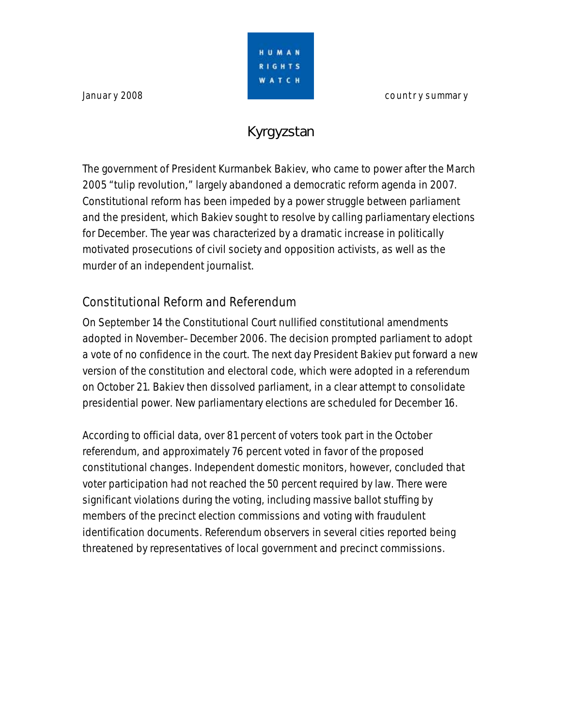**January 2008 country summary** 



# **Kyrgyzstan**

The government of President Kurmanbek Bakiev, who came to power after the March 2005 "tulip revolution," largely abandoned a democratic reform agenda in 2007. Constitutional reform has been impeded by a power struggle between parliament and the president, which Bakiev sought to resolve by calling parliamentary elections for December. The year was characterized by a dramatic increase in politically motivated prosecutions of civil society and opposition activists, as well as the murder of an independent journalist.

## Constitutional Reform and Referendum

On September 14 the Constitutional Court nullified constitutional amendments adopted in November–December 2006. The decision prompted parliament to adopt a vote of no confidence in the court. The next day President Bakiev put forward a new version of the constitution and electoral code, which were adopted in a referendum on October 21. Bakiev then dissolved parliament, in a clear attempt to consolidate presidential power. New parliamentary elections are scheduled for December 16.

According to official data, over 81 percent of voters took part in the October referendum, and approximately 76 percent voted in favor of the proposed constitutional changes. Independent domestic monitors, however, concluded that voter participation had not reached the 50 percent required by law. There were significant violations during the voting, including massive ballot stuffing by members of the precinct election commissions and voting with fraudulent identification documents. Referendum observers in several cities reported being threatened by representatives of local government and precinct commissions.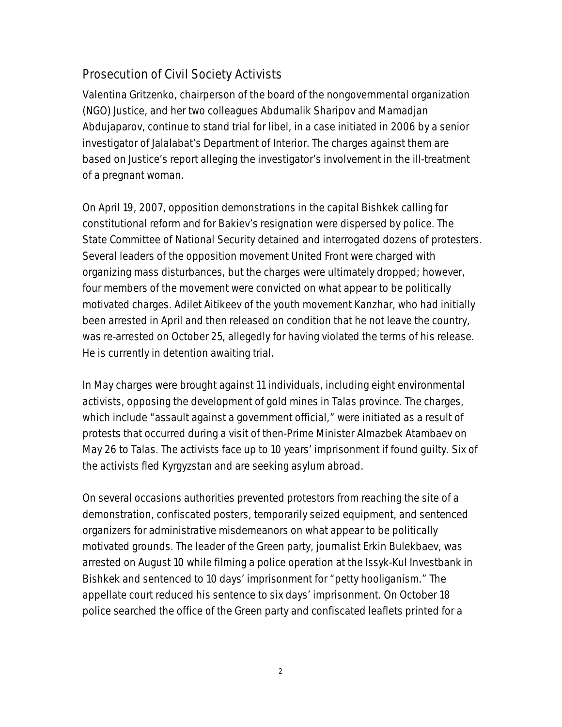### Prosecution of Civil Society Activists

Valentina Gritzenko, chairperson of the board of the nongovernmental organization (NGO) Justice, and her two colleagues Abdumalik Sharipov and Mamadjan Abdujaparov, continue to stand trial for libel, in a case initiated in 2006 by a senior investigator of Jalalabat's Department of Interior. The charges against them are based on Justice's report alleging the investigator's involvement in the ill-treatment of a pregnant woman.

On April 19, 2007, opposition demonstrations in the capital Bishkek calling for constitutional reform and for Bakiev's resignation were dispersed by police. The State Committee of National Security detained and interrogated dozens of protesters. Several leaders of the opposition movement United Front were charged with organizing mass disturbances, but the charges were ultimately dropped; however, four members of the movement were convicted on what appear to be politically motivated charges. Adilet Aitikeev of the youth movement Kanzhar, who had initially been arrested in April and then released on condition that he not leave the country, was re-arrested on October 25, allegedly for having violated the terms of his release. He is currently in detention awaiting trial.

In May charges were brought against 11 individuals, including eight environmental activists, opposing the development of gold mines in Talas province. The charges, which include "assault against a government official," were initiated as a result of protests that occurred during a visit of then-Prime Minister Almazbek Atambaev on May 26 to Talas. The activists face up to 10 years' imprisonment if found guilty. Six of the activists fled Kyrgyzstan and are seeking asylum abroad.

On several occasions authorities prevented protestors from reaching the site of a demonstration, confiscated posters, temporarily seized equipment, and sentenced organizers for administrative misdemeanors on what appear to be politically motivated grounds. The leader of the Green party, journalist Erkin Bulekbaev, was arrested on August 10 while filming a police operation at the Issyk-Kul Investbank in Bishkek and sentenced to 10 days' imprisonment for "petty hooliganism." The appellate court reduced his sentence to six days' imprisonment. On October 18 police searched the office of the Green party and confiscated leaflets printed for a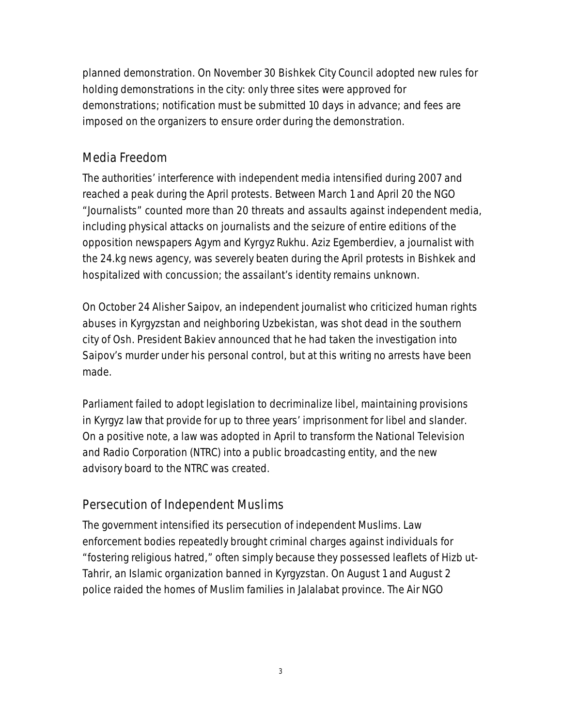planned demonstration. On November 30 Bishkek City Council adopted new rules for holding demonstrations in the city: only three sites were approved for demonstrations; notification must be submitted 10 days in advance; and fees are imposed on the organizers to ensure order during the demonstration.

#### Media Freedom

The authorities' interference with independent media intensified during 2007 and reached a peak during the April protests. Between March 1 and April 20 the NGO "Journalists" counted more than 20 threats and assaults against independent media, including physical attacks on journalists and the seizure of entire editions of the opposition newspapers *Agym* and *Kyrgyz Rukhu.* Aziz Egemberdiev, a journalist with the 24.kg news agency, was severely beaten during the April protests in Bishkek and hospitalized with concussion; the assailant's identity remains unknown.

On October 24 Alisher Saipov, an independent journalist who criticized human rights abuses in Kyrgyzstan and neighboring Uzbekistan, was shot dead in the southern city of Osh. President Bakiev announced that he had taken the investigation into Saipov's murder under his personal control, but at this writing no arrests have been made.

Parliament failed to adopt legislation to decriminalize libel, maintaining provisions in Kyrgyz law that provide for up to three years' imprisonment for libel and slander. On a positive note, a law was adopted in April to transform the National Television and Radio Corporation (NTRC) into a public broadcasting entity, and the new advisory board to the NTRC was created.

#### Persecution of Independent Muslims

The government intensified its persecution of independent Muslims. Law enforcement bodies repeatedly brought criminal charges against individuals for "fostering religious hatred," often simply because they possessed leaflets of Hizb ut-Tahrir, an Islamic organization banned in Kyrgyzstan. On August 1 and August 2 police raided the homes of Muslim families in Jalalabat province. The Air NGO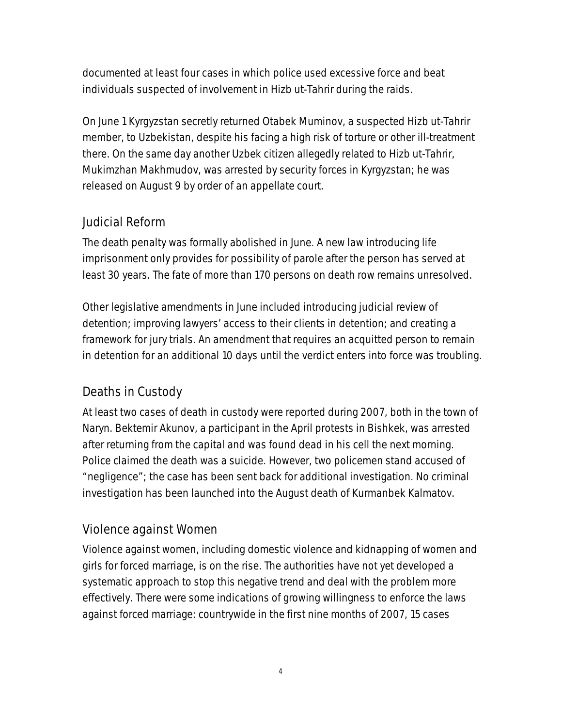documented at least four cases in which police used excessive force and beat individuals suspected of involvement in Hizb ut-Tahrir during the raids.

On June 1 Kyrgyzstan secretly returned Otabek Muminov, a suspected Hizb ut-Tahrir member, to Uzbekistan, despite his facing a high risk of torture or other ill-treatment there. On the same day another Uzbek citizen allegedly related to Hizb ut-Tahrir, Mukimzhan Makhmudov, was arrested by security forces in Kyrgyzstan; he was released on August 9 by order of an appellate court.

#### Judicial Reform

The death penalty was formally abolished in June. A new law introducing life imprisonment only provides for possibility of parole after the person has served at least 30 years. The fate of more than 170 persons on death row remains unresolved.

Other legislative amendments in June included introducing judicial review of detention; improving lawyers' access to their clients in detention; and creating a framework for jury trials. An amendment that requires an acquitted person to remain in detention for an additional 10 days until the verdict enters into force was troubling.

## Deaths in Custody

At least two cases of death in custody were reported during 2007, both in the town of Naryn. Bektemir Akunov, a participant in the April protests in Bishkek, was arrested after returning from the capital and was found dead in his cell the next morning. Police claimed the death was a suicide. However, two policemen stand accused of "negligence"; the case has been sent back for additional investigation. No criminal investigation has been launched into the August death of Kurmanbek Kalmatov.

#### Violence against Women

Violence against women, including domestic violence and kidnapping of women and girls for forced marriage, is on the rise. The authorities have not yet developed a systematic approach to stop this negative trend and deal with the problem more effectively. There were some indications of growing willingness to enforce the laws against forced marriage: countrywide in the first nine months of 2007, 15 cases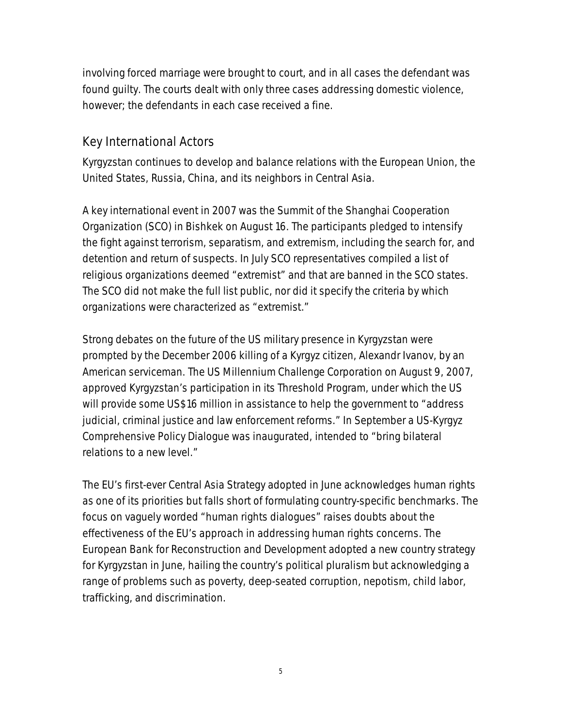involving forced marriage were brought to court, and in all cases the defendant was found guilty. The courts dealt with only three cases addressing domestic violence, however; the defendants in each case received a fine.

#### Key International Actors

Kyrgyzstan continues to develop and balance relations with the European Union, the United States, Russia, China, and its neighbors in Central Asia.

A key international event in 2007 was the Summit of the Shanghai Cooperation Organization (SCO) in Bishkek on August 16. The participants pledged to intensify the fight against terrorism, separatism, and extremism, including the search for, and detention and return of suspects. In July SCO representatives compiled a list of religious organizations deemed "extremist" and that are banned in the SCO states. The SCO did not make the full list public, nor did it specify the criteria by which organizations were characterized as "extremist."

Strong debates on the future of the US military presence in Kyrgyzstan were prompted by the December 2006 killing of a Kyrgyz citizen, Alexandr Ivanov, by an American serviceman. The US Millennium Challenge Corporation on August 9, 2007, approved Kyrgyzstan's participation in its Threshold Program, under which the US will provide some US\$16 million in assistance to help the government to "address judicial, criminal justice and law enforcement reforms." In September a US-Kyrgyz Comprehensive Policy Dialogue was inaugurated, intended to "bring bilateral relations to a new level."

The EU's first-ever Central Asia Strategy adopted in June acknowledges human rights as one of its priorities but falls short of formulating country-specific benchmarks. The focus on vaguely worded "human rights dialogues" raises doubts about the effectiveness of the EU's approach in addressing human rights concerns. The European Bank for Reconstruction and Development adopted a new country strategy for Kyrgyzstan in June, hailing the country's political pluralism but acknowledging a range of problems such as poverty, deep-seated corruption, nepotism, child labor, trafficking, and discrimination.